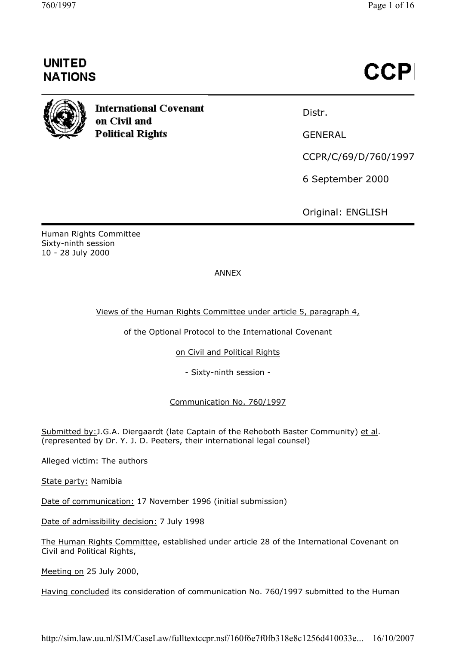# **UNITED NATIONS**

# **CCP**



**International Covenant** on Civil and **Political Rights** 

Distr.

GENERAL

CCPR/C/69/D/760/1997

6 September 2000

Original: ENGLISH

Human Rights Committee Sixty-ninth session 10 - 28 July 2000

ANNEX

Views of the Human Rights Committee under article 5, paragraph 4,

of the Optional Protocol to the International Covenant

on Civil and Political Rights

- Sixty-ninth session -

Communication No. 760/1997

Submitted by:J.G.A. Diergaardt (late Captain of the Rehoboth Baster Community) et al. (represented by Dr. Y. J. D. Peeters, their international legal counsel)

Alleged victim: The authors

State party: Namibia

Date of communication: 17 November 1996 (initial submission)

Date of admissibility decision: 7 July 1998

The Human Rights Committee, established under article 28 of the International Covenant on Civil and Political Rights,

Meeting on 25 July 2000,

Having concluded its consideration of communication No. 760/1997 submitted to the Human

http://sim.law.uu.nl/SIM/CaseLaw/fulltextccpr.nsf/160f6e7f0fb318e8c1256d410033e... 16/10/2007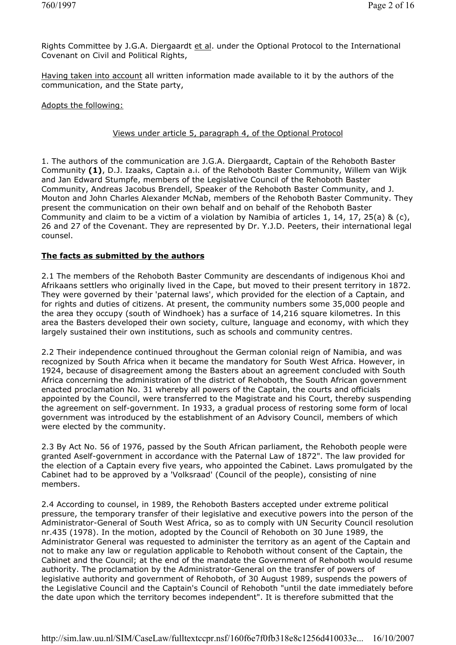Rights Committee by J.G.A. Diergaardt et al. under the Optional Protocol to the International Covenant on Civil and Political Rights,

Having taken into account all written information made available to it by the authors of the communication, and the State party,

#### Adopts the following:

## Views under article 5, paragraph 4, of the Optional Protocol

1. The authors of the communication are J.G.A. Diergaardt, Captain of the Rehoboth Baster Community (1), D.J. Izaaks, Captain a.i. of the Rehoboth Baster Community, Willem van Wijk and Jan Edward Stumpfe, members of the Legislative Council of the Rehoboth Baster Community, Andreas Jacobus Brendell, Speaker of the Rehoboth Baster Community, and J. Mouton and John Charles Alexander McNab, members of the Rehoboth Baster Community. They present the communication on their own behalf and on behalf of the Rehoboth Baster Community and claim to be a victim of a violation by Namibia of articles 1, 14, 17, 25(a) & (c), 26 and 27 of the Covenant. They are represented by Dr. Y.J.D. Peeters, their international legal counsel.

#### The facts as submitted by the authors

2.1 The members of the Rehoboth Baster Community are descendants of indigenous Khoi and Afrikaans settlers who originally lived in the Cape, but moved to their present territory in 1872. They were governed by their 'paternal laws', which provided for the election of a Captain, and for rights and duties of citizens. At present, the community numbers some 35,000 people and the area they occupy (south of Windhoek) has a surface of 14,216 square kilometres. In this area the Basters developed their own society, culture, language and economy, with which they largely sustained their own institutions, such as schools and community centres.

2.2 Their independence continued throughout the German colonial reign of Namibia, and was recognized by South Africa when it became the mandatory for South West Africa. However, in 1924, because of disagreement among the Basters about an agreement concluded with South Africa concerning the administration of the district of Rehoboth, the South African government enacted proclamation No. 31 whereby all powers of the Captain, the courts and officials appointed by the Council, were transferred to the Magistrate and his Court, thereby suspending the agreement on self-government. In 1933, a gradual process of restoring some form of local government was introduced by the establishment of an Advisory Council, members of which were elected by the community.

2.3 By Act No. 56 of 1976, passed by the South African parliament, the Rehoboth people were granted Aself-government in accordance with the Paternal Law of 1872". The law provided for the election of a Captain every five years, who appointed the Cabinet. Laws promulgated by the Cabinet had to be approved by a 'Volksraad' (Council of the people), consisting of nine members.

2.4 According to counsel, in 1989, the Rehoboth Basters accepted under extreme political pressure, the temporary transfer of their legislative and executive powers into the person of the Administrator-General of South West Africa, so as to comply with UN Security Council resolution nr.435 (1978). In the motion, adopted by the Council of Rehoboth on 30 June 1989, the Administrator General was requested to administer the territory as an agent of the Captain and not to make any law or regulation applicable to Rehoboth without consent of the Captain, the Cabinet and the Council; at the end of the mandate the Government of Rehoboth would resume authority. The proclamation by the Administrator-General on the transfer of powers of legislative authority and government of Rehoboth, of 30 August 1989, suspends the powers of the Legislative Council and the Captain's Council of Rehoboth "until the date immediately before the date upon which the territory becomes independent". It is therefore submitted that the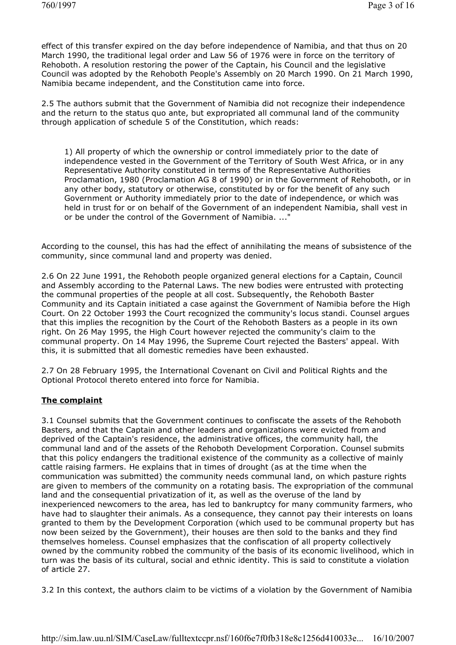effect of this transfer expired on the day before independence of Namibia, and that thus on 20 March 1990, the traditional legal order and Law 56 of 1976 were in force on the territory of Rehoboth. A resolution restoring the power of the Captain, his Council and the legislative Council was adopted by the Rehoboth People's Assembly on 20 March 1990. On 21 March 1990, Namibia became independent, and the Constitution came into force.

2.5 The authors submit that the Government of Namibia did not recognize their independence and the return to the status quo ante, but expropriated all communal land of the community through application of schedule 5 of the Constitution, which reads:

1) All property of which the ownership or control immediately prior to the date of independence vested in the Government of the Territory of South West Africa, or in any Representative Authority constituted in terms of the Representative Authorities Proclamation, 1980 (Proclamation AG 8 of 1990) or in the Government of Rehoboth, or in any other body, statutory or otherwise, constituted by or for the benefit of any such Government or Authority immediately prior to the date of independence, or which was held in trust for or on behalf of the Government of an independent Namibia, shall vest in or be under the control of the Government of Namibia. ..."

According to the counsel, this has had the effect of annihilating the means of subsistence of the community, since communal land and property was denied.

2.6 On 22 June 1991, the Rehoboth people organized general elections for a Captain, Council and Assembly according to the Paternal Laws. The new bodies were entrusted with protecting the communal properties of the people at all cost. Subsequently, the Rehoboth Baster Community and its Captain initiated a case against the Government of Namibia before the High Court. On 22 October 1993 the Court recognized the community's locus standi. Counsel argues that this implies the recognition by the Court of the Rehoboth Basters as a people in its own right. On 26 May 1995, the High Court however rejected the community's claim to the communal property. On 14 May 1996, the Supreme Court rejected the Basters' appeal. With this, it is submitted that all domestic remedies have been exhausted.

2.7 On 28 February 1995, the International Covenant on Civil and Political Rights and the Optional Protocol thereto entered into force for Namibia.

# The complaint

3.1 Counsel submits that the Government continues to confiscate the assets of the Rehoboth Basters, and that the Captain and other leaders and organizations were evicted from and deprived of the Captain's residence, the administrative offices, the community hall, the communal land and of the assets of the Rehoboth Development Corporation. Counsel submits that this policy endangers the traditional existence of the community as a collective of mainly cattle raising farmers. He explains that in times of drought (as at the time when the communication was submitted) the community needs communal land, on which pasture rights are given to members of the community on a rotating basis. The expropriation of the communal land and the consequential privatization of it, as well as the overuse of the land by inexperienced newcomers to the area, has led to bankruptcy for many community farmers, who have had to slaughter their animals. As a consequence, they cannot pay their interests on loans granted to them by the Development Corporation (which used to be communal property but has now been seized by the Government), their houses are then sold to the banks and they find themselves homeless. Counsel emphasizes that the confiscation of all property collectively owned by the community robbed the community of the basis of its economic livelihood, which in turn was the basis of its cultural, social and ethnic identity. This is said to constitute a violation of article 27.

3.2 In this context, the authors claim to be victims of a violation by the Government of Namibia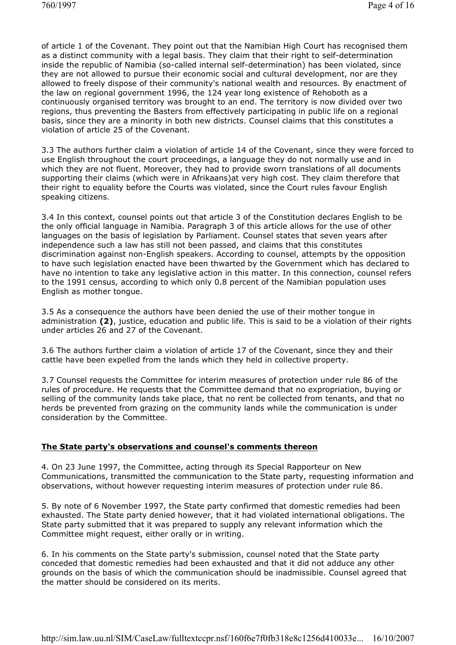of article 1 of the Covenant. They point out that the Namibian High Court has recognised them as a distinct community with a legal basis. They claim that their right to self-determination inside the republic of Namibia (so-called internal self-determination) has been violated, since they are not allowed to pursue their economic social and cultural development, nor are they allowed to freely dispose of their community's national wealth and resources. By enactment of the law on regional government 1996, the 124 year long existence of Rehoboth as a continuously organised territory was brought to an end. The territory is now divided over two regions, thus preventing the Basters from effectively participating in public life on a regional basis, since they are a minority in both new districts. Counsel claims that this constitutes a violation of article 25 of the Covenant.

3.3 The authors further claim a violation of article 14 of the Covenant, since they were forced to use English throughout the court proceedings, a language they do not normally use and in which they are not fluent. Moreover, they had to provide sworn translations of all documents supporting their claims (which were in Afrikaans)at very high cost. They claim therefore that their right to equality before the Courts was violated, since the Court rules favour English speaking citizens.

3.4 In this context, counsel points out that article 3 of the Constitution declares English to be the only official language in Namibia. Paragraph 3 of this article allows for the use of other languages on the basis of legislation by Parliament. Counsel states that seven years after independence such a law has still not been passed, and claims that this constitutes discrimination against non-English speakers. According to counsel, attempts by the opposition to have such legislation enacted have been thwarted by the Government which has declared to have no intention to take any legislative action in this matter. In this connection, counsel refers to the 1991 census, according to which only 0.8 percent of the Namibian population uses English as mother tongue.

3.5 As a consequence the authors have been denied the use of their mother tongue in administration (2), justice, education and public life. This is said to be a violation of their rights under articles 26 and 27 of the Covenant.

3.6 The authors further claim a violation of article 17 of the Covenant, since they and their cattle have been expelled from the lands which they held in collective property.

3.7 Counsel requests the Committee for interim measures of protection under rule 86 of the rules of procedure. He requests that the Committee demand that no expropriation, buying or selling of the community lands take place, that no rent be collected from tenants, and that no herds be prevented from grazing on the community lands while the communication is under consideration by the Committee.

# The State party's observations and counsel's comments thereon

4. On 23 June 1997, the Committee, acting through its Special Rapporteur on New Communications, transmitted the communication to the State party, requesting information and observations, without however requesting interim measures of protection under rule 86.

5. By note of 6 November 1997, the State party confirmed that domestic remedies had been exhausted. The State party denied however, that it had violated international obligations. The State party submitted that it was prepared to supply any relevant information which the Committee might request, either orally or in writing.

6. In his comments on the State party's submission, counsel noted that the State party conceded that domestic remedies had been exhausted and that it did not adduce any other grounds on the basis of which the communication should be inadmissible. Counsel agreed that the matter should be considered on its merits.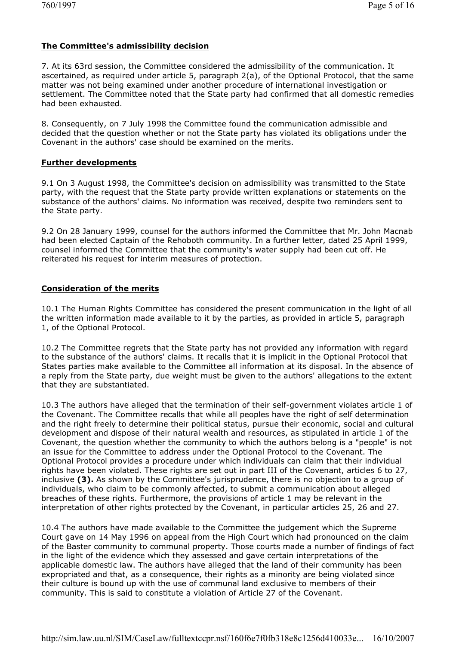# The Committee's admissibility decision

7. At its 63rd session, the Committee considered the admissibility of the communication. It ascertained, as required under article 5, paragraph 2(a), of the Optional Protocol, that the same matter was not being examined under another procedure of international investigation or settlement. The Committee noted that the State party had confirmed that all domestic remedies had been exhausted.

8. Consequently, on 7 July 1998 the Committee found the communication admissible and decided that the question whether or not the State party has violated its obligations under the Covenant in the authors' case should be examined on the merits.

#### Further developments

9.1 On 3 August 1998, the Committee's decision on admissibility was transmitted to the State party, with the request that the State party provide written explanations or statements on the substance of the authors' claims. No information was received, despite two reminders sent to the State party.

9.2 On 28 January 1999, counsel for the authors informed the Committee that Mr. John Macnab had been elected Captain of the Rehoboth community. In a further letter, dated 25 April 1999, counsel informed the Committee that the community's water supply had been cut off. He reiterated his request for interim measures of protection.

#### Consideration of the merits

10.1 The Human Rights Committee has considered the present communication in the light of all the written information made available to it by the parties, as provided in article 5, paragraph 1, of the Optional Protocol.

10.2 The Committee regrets that the State party has not provided any information with regard to the substance of the authors' claims. It recalls that it is implicit in the Optional Protocol that States parties make available to the Committee all information at its disposal. In the absence of a reply from the State party, due weight must be given to the authors' allegations to the extent that they are substantiated.

10.3 The authors have alleged that the termination of their self-government violates article 1 of the Covenant. The Committee recalls that while all peoples have the right of self determination and the right freely to determine their political status, pursue their economic, social and cultural development and dispose of their natural wealth and resources, as stipulated in article 1 of the Covenant, the question whether the community to which the authors belong is a "people" is not an issue for the Committee to address under the Optional Protocol to the Covenant. The Optional Protocol provides a procedure under which individuals can claim that their individual rights have been violated. These rights are set out in part III of the Covenant, articles 6 to 27, inclusive (3). As shown by the Committee's jurisprudence, there is no objection to a group of individuals, who claim to be commonly affected, to submit a communication about alleged breaches of these rights. Furthermore, the provisions of article 1 may be relevant in the interpretation of other rights protected by the Covenant, in particular articles 25, 26 and 27.

10.4 The authors have made available to the Committee the judgement which the Supreme Court gave on 14 May 1996 on appeal from the High Court which had pronounced on the claim of the Baster community to communal property. Those courts made a number of findings of fact in the light of the evidence which they assessed and gave certain interpretations of the applicable domestic law. The authors have alleged that the land of their community has been expropriated and that, as a consequence, their rights as a minority are being violated since their culture is bound up with the use of communal land exclusive to members of their community. This is said to constitute a violation of Article 27 of the Covenant.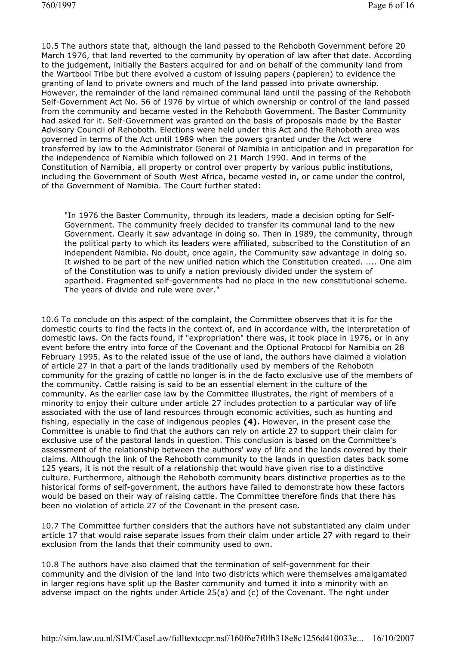10.5 The authors state that, although the land passed to the Rehoboth Government before 20 March 1976, that land reverted to the community by operation of law after that date. According to the judgement, initially the Basters acquired for and on behalf of the community land from the Wartbooi Tribe but there evolved a custom of issuing papers (papieren) to evidence the granting of land to private owners and much of the land passed into private ownership. However, the remainder of the land remained communal land until the passing of the Rehoboth Self-Government Act No. 56 of 1976 by virtue of which ownership or control of the land passed from the community and became vested in the Rehoboth Government. The Baster Community had asked for it. Self-Government was granted on the basis of proposals made by the Baster Advisory Council of Rehoboth. Elections were held under this Act and the Rehoboth area was governed in terms of the Act until 1989 when the powers granted under the Act were transferred by law to the Administrator General of Namibia in anticipation and in preparation for the independence of Namibia which followed on 21 March 1990. And in terms of the Constitution of Namibia, all property or control over property by various public institutions, including the Government of South West Africa, became vested in, or came under the control, of the Government of Namibia. The Court further stated:

"In 1976 the Baster Community, through its leaders, made a decision opting for Self-Government. The community freely decided to transfer its communal land to the new Government. Clearly it saw advantage in doing so. Then in 1989, the community, through the political party to which its leaders were affiliated, subscribed to the Constitution of an independent Namibia. No doubt, once again, the Community saw advantage in doing so. It wished to be part of the new unified nation which the Constitution created. .... One aim of the Constitution was to unify a nation previously divided under the system of apartheid. Fragmented self-governments had no place in the new constitutional scheme. The years of divide and rule were over."

10.6 To conclude on this aspect of the complaint, the Committee observes that it is for the domestic courts to find the facts in the context of, and in accordance with, the interpretation of domestic laws. On the facts found, if "expropriation" there was, it took place in 1976, or in any event before the entry into force of the Covenant and the Optional Protocol for Namibia on 28 February 1995. As to the related issue of the use of land, the authors have claimed a violation of article 27 in that a part of the lands traditionally used by members of the Rehoboth community for the grazing of cattle no longer is in the de facto exclusive use of the members of the community. Cattle raising is said to be an essential element in the culture of the community. As the earlier case law by the Committee illustrates, the right of members of a minority to enjoy their culture under article 27 includes protection to a particular way of life associated with the use of land resources through economic activities, such as hunting and fishing, especially in the case of indigenous peoples (4). However, in the present case the Committee is unable to find that the authors can rely on article 27 to support their claim for exclusive use of the pastoral lands in question. This conclusion is based on the Committee's assessment of the relationship between the authors' way of life and the lands covered by their claims. Although the link of the Rehoboth community to the lands in question dates back some 125 years, it is not the result of a relationship that would have given rise to a distinctive culture. Furthermore, although the Rehoboth community bears distinctive properties as to the historical forms of self-government, the authors have failed to demonstrate how these factors would be based on their way of raising cattle. The Committee therefore finds that there has been no violation of article 27 of the Covenant in the present case.

10.7 The Committee further considers that the authors have not substantiated any claim under article 17 that would raise separate issues from their claim under article 27 with regard to their exclusion from the lands that their community used to own.

10.8 The authors have also claimed that the termination of self-government for their community and the division of the land into two districts which were themselves amalgamated in larger regions have split up the Baster community and turned it into a minority with an adverse impact on the rights under Article 25(a) and (c) of the Covenant. The right under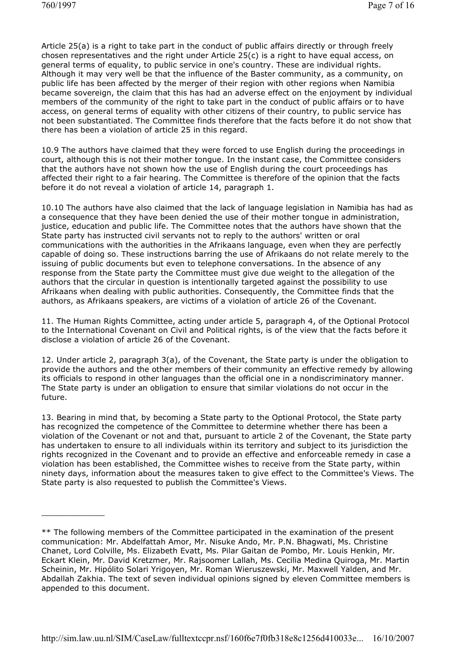\_\_\_\_\_\_\_\_\_\_\_\_\_

Article 25(a) is a right to take part in the conduct of public affairs directly or through freely chosen representatives and the right under Article 25(c) is a right to have equal access, on general terms of equality, to public service in one's country. These are individual rights. Although it may very well be that the influence of the Baster community, as a community, on public life has been affected by the merger of their region with other regions when Namibia became sovereign, the claim that this has had an adverse effect on the enjoyment by individual members of the community of the right to take part in the conduct of public affairs or to have access, on general terms of equality with other citizens of their country, to public service has not been substantiated. The Committee finds therefore that the facts before it do not show that there has been a violation of article 25 in this regard.

10.9 The authors have claimed that they were forced to use English during the proceedings in court, although this is not their mother tongue. In the instant case, the Committee considers that the authors have not shown how the use of English during the court proceedings has affected their right to a fair hearing. The Committee is therefore of the opinion that the facts before it do not reveal a violation of article 14, paragraph 1.

10.10 The authors have also claimed that the lack of language legislation in Namibia has had as a consequence that they have been denied the use of their mother tongue in administration, justice, education and public life. The Committee notes that the authors have shown that the State party has instructed civil servants not to reply to the authors' written or oral communications with the authorities in the Afrikaans language, even when they are perfectly capable of doing so. These instructions barring the use of Afrikaans do not relate merely to the issuing of public documents but even to telephone conversations. In the absence of any response from the State party the Committee must give due weight to the allegation of the authors that the circular in question is intentionally targeted against the possibility to use Afrikaans when dealing with public authorities. Consequently, the Committee finds that the authors, as Afrikaans speakers, are victims of a violation of article 26 of the Covenant.

11. The Human Rights Committee, acting under article 5, paragraph 4, of the Optional Protocol to the International Covenant on Civil and Political rights, is of the view that the facts before it disclose a violation of article 26 of the Covenant.

12. Under article 2, paragraph 3(a), of the Covenant, the State party is under the obligation to provide the authors and the other members of their community an effective remedy by allowing its officials to respond in other languages than the official one in a nondiscriminatory manner. The State party is under an obligation to ensure that similar violations do not occur in the future.

13. Bearing in mind that, by becoming a State party to the Optional Protocol, the State party has recognized the competence of the Committee to determine whether there has been a violation of the Covenant or not and that, pursuant to article 2 of the Covenant, the State party has undertaken to ensure to all individuals within its territory and subject to its jurisdiction the rights recognized in the Covenant and to provide an effective and enforceable remedy in case a violation has been established, the Committee wishes to receive from the State party, within ninety days, information about the measures taken to give effect to the Committee's Views. The State party is also requested to publish the Committee's Views.

<sup>\*\*</sup> The following members of the Committee participated in the examination of the present communication: Mr. Abdelfattah Amor, Mr. Nisuke Ando, Mr. P.N. Bhagwati, Ms. Christine Chanet, Lord Colville, Ms. Elizabeth Evatt, Ms. Pilar Gaitan de Pombo, Mr. Louis Henkin, Mr. Eckart Klein, Mr. David Kretzmer, Mr. Rajsoomer Lallah, Ms. Cecilia Medina Quiroga, Mr. Martin Scheinin, Mr. Hipólito Solari Yrigoyen, Mr. Roman Wieruszewski, Mr. Maxwell Yalden, and Mr. Abdallah Zakhia. The text of seven individual opinions signed by eleven Committee members is appended to this document.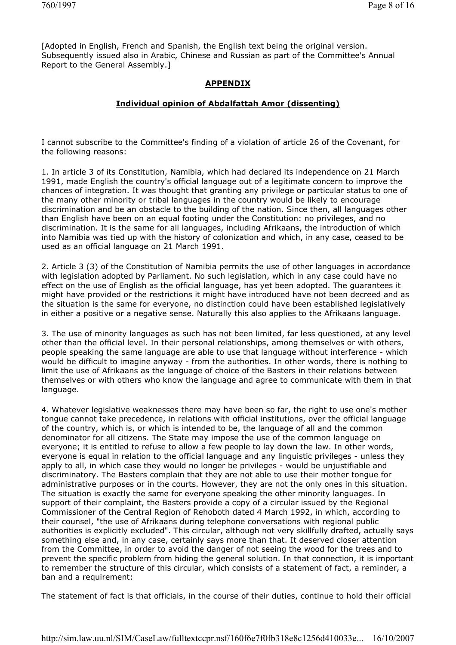[Adopted in English, French and Spanish, the English text being the original version. Subsequently issued also in Arabic, Chinese and Russian as part of the Committee's Annual Report to the General Assembly.]

#### APPENDIX

# Individual opinion of Abdalfattah Amor (dissenting)

I cannot subscribe to the Committee's finding of a violation of article 26 of the Covenant, for the following reasons:

1. In article 3 of its Constitution, Namibia, which had declared its independence on 21 March 1991, made English the country's official language out of a legitimate concern to improve the chances of integration. It was thought that granting any privilege or particular status to one of the many other minority or tribal languages in the country would be likely to encourage discrimination and be an obstacle to the building of the nation. Since then, all languages other than English have been on an equal footing under the Constitution: no privileges, and no discrimination. It is the same for all languages, including Afrikaans, the introduction of which into Namibia was tied up with the history of colonization and which, in any case, ceased to be used as an official language on 21 March 1991.

2. Article 3 (3) of the Constitution of Namibia permits the use of other languages in accordance with legislation adopted by Parliament. No such legislation, which in any case could have no effect on the use of English as the official language, has yet been adopted. The guarantees it might have provided or the restrictions it might have introduced have not been decreed and as the situation is the same for everyone, no distinction could have been established legislatively in either a positive or a negative sense. Naturally this also applies to the Afrikaans language.

3. The use of minority languages as such has not been limited, far less questioned, at any level other than the official level. In their personal relationships, among themselves or with others, people speaking the same language are able to use that language without interference - which would be difficult to imagine anyway - from the authorities. In other words, there is nothing to limit the use of Afrikaans as the language of choice of the Basters in their relations between themselves or with others who know the language and agree to communicate with them in that language.

4. Whatever legislative weaknesses there may have been so far, the right to use one's mother tongue cannot take precedence, in relations with official institutions, over the official language of the country, which is, or which is intended to be, the language of all and the common denominator for all citizens. The State may impose the use of the common language on everyone; it is entitled to refuse to allow a few people to lay down the law. In other words, everyone is equal in relation to the official language and any linguistic privileges - unless they apply to all, in which case they would no longer be privileges - would be unjustifiable and discriminatory. The Basters complain that they are not able to use their mother tongue for administrative purposes or in the courts. However, they are not the only ones in this situation. The situation is exactly the same for everyone speaking the other minority languages. In support of their complaint, the Basters provide a copy of a circular issued by the Regional Commissioner of the Central Region of Rehoboth dated 4 March 1992, in which, according to their counsel, "the use of Afrikaans during telephone conversations with regional public authorities is explicitly excluded". This circular, although not very skillfully drafted, actually says something else and, in any case, certainly says more than that. It deserved closer attention from the Committee, in order to avoid the danger of not seeing the wood for the trees and to prevent the specific problem from hiding the general solution. In that connection, it is important to remember the structure of this circular, which consists of a statement of fact, a reminder, a ban and a requirement:

The statement of fact is that officials, in the course of their duties, continue to hold their official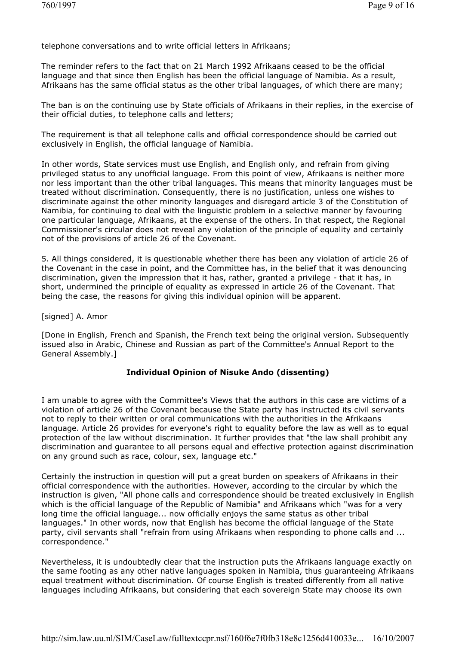telephone conversations and to write official letters in Afrikaans;

The reminder refers to the fact that on 21 March 1992 Afrikaans ceased to be the official language and that since then English has been the official language of Namibia. As a result, Afrikaans has the same official status as the other tribal languages, of which there are many;

The ban is on the continuing use by State officials of Afrikaans in their replies, in the exercise of their official duties, to telephone calls and letters;

The requirement is that all telephone calls and official correspondence should be carried out exclusively in English, the official language of Namibia.

In other words, State services must use English, and English only, and refrain from giving privileged status to any unofficial language. From this point of view, Afrikaans is neither more nor less important than the other tribal languages. This means that minority languages must be treated without discrimination. Consequently, there is no justification, unless one wishes to discriminate against the other minority languages and disregard article 3 of the Constitution of Namibia, for continuing to deal with the linguistic problem in a selective manner by favouring one particular language, Afrikaans, at the expense of the others. In that respect, the Regional Commissioner's circular does not reveal any violation of the principle of equality and certainly not of the provisions of article 26 of the Covenant.

5. All things considered, it is questionable whether there has been any violation of article 26 of the Covenant in the case in point, and the Committee has, in the belief that it was denouncing discrimination, given the impression that it has, rather, granted a privilege - that it has, in short, undermined the principle of equality as expressed in article 26 of the Covenant. That being the case, the reasons for giving this individual opinion will be apparent.

[signed] A. Amor

[Done in English, French and Spanish, the French text being the original version. Subsequently issued also in Arabic, Chinese and Russian as part of the Committee's Annual Report to the General Assembly.]

#### Individual Opinion of Nisuke Ando (dissenting)

I am unable to agree with the Committee's Views that the authors in this case are victims of a violation of article 26 of the Covenant because the State party has instructed its civil servants not to reply to their written or oral communications with the authorities in the Afrikaans language. Article 26 provides for everyone's right to equality before the law as well as to equal protection of the law without discrimination. It further provides that "the law shall prohibit any discrimination and guarantee to all persons equal and effective protection against discrimination on any ground such as race, colour, sex, language etc."

Certainly the instruction in question will put a great burden on speakers of Afrikaans in their official correspondence with the authorities. However, according to the circular by which the instruction is given, "All phone calls and correspondence should be treated exclusively in English which is the official language of the Republic of Namibia" and Afrikaans which "was for a very long time the official language... now officially enjoys the same status as other tribal languages." In other words, now that English has become the official language of the State party, civil servants shall "refrain from using Afrikaans when responding to phone calls and ... correspondence."

Nevertheless, it is undoubtedly clear that the instruction puts the Afrikaans language exactly on the same footing as any other native languages spoken in Namibia, thus guaranteeing Afrikaans equal treatment without discrimination. Of course English is treated differently from all native languages including Afrikaans, but considering that each sovereign State may choose its own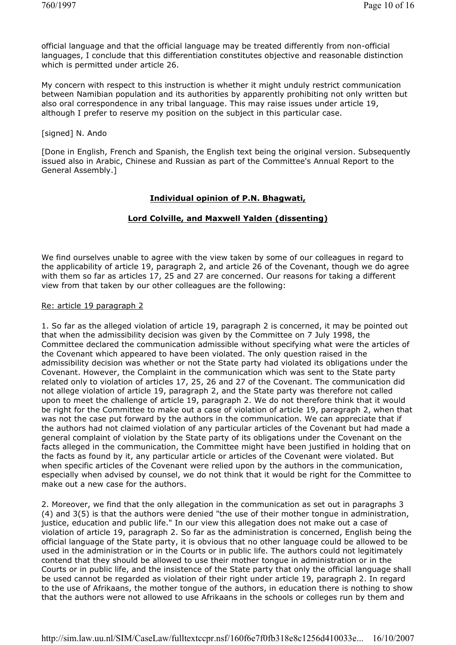official language and that the official language may be treated differently from non-official languages, I conclude that this differentiation constitutes objective and reasonable distinction which is permitted under article 26.

My concern with respect to this instruction is whether it might unduly restrict communication between Namibian population and its authorities by apparently prohibiting not only written but also oral correspondence in any tribal language. This may raise issues under article 19, although I prefer to reserve my position on the subject in this particular case.

[signed] N. Ando

[Done in English, French and Spanish, the English text being the original version. Subsequently issued also in Arabic, Chinese and Russian as part of the Committee's Annual Report to the General Assembly.]

#### Individual opinion of P.N. Bhagwati,

#### Lord Colville, and Maxwell Yalden (dissenting)

We find ourselves unable to agree with the view taken by some of our colleagues in regard to the applicability of article 19, paragraph 2, and article 26 of the Covenant, though we do agree with them so far as articles 17, 25 and 27 are concerned. Our reasons for taking a different view from that taken by our other colleagues are the following:

#### Re: article 19 paragraph 2

1. So far as the alleged violation of article 19, paragraph 2 is concerned, it may be pointed out that when the admissibility decision was given by the Committee on 7 July 1998, the Committee declared the communication admissible without specifying what were the articles of the Covenant which appeared to have been violated. The only question raised in the admissibility decision was whether or not the State party had violated its obligations under the Covenant. However, the Complaint in the communication which was sent to the State party related only to violation of articles 17, 25, 26 and 27 of the Covenant. The communication did not allege violation of article 19, paragraph 2, and the State party was therefore not called upon to meet the challenge of article 19, paragraph 2. We do not therefore think that it would be right for the Committee to make out a case of violation of article 19, paragraph 2, when that was not the case put forward by the authors in the communication. We can appreciate that if the authors had not claimed violation of any particular articles of the Covenant but had made a general complaint of violation by the State party of its obligations under the Covenant on the facts alleged in the communication, the Committee might have been justified in holding that on the facts as found by it, any particular article or articles of the Covenant were violated. But when specific articles of the Covenant were relied upon by the authors in the communication, especially when advised by counsel, we do not think that it would be right for the Committee to make out a new case for the authors.

2. Moreover, we find that the only allegation in the communication as set out in paragraphs 3 (4) and 3(5) is that the authors were denied "the use of their mother tongue in administration, justice, education and public life." In our view this allegation does not make out a case of violation of article 19, paragraph 2. So far as the administration is concerned, English being the official language of the State party, it is obvious that no other language could be allowed to be used in the administration or in the Courts or in public life. The authors could not legitimately contend that they should be allowed to use their mother tongue in administration or in the Courts or in public life, and the insistence of the State party that only the official language shall be used cannot be regarded as violation of their right under article 19, paragraph 2. In regard to the use of Afrikaans, the mother tongue of the authors, in education there is nothing to show that the authors were not allowed to use Afrikaans in the schools or colleges run by them and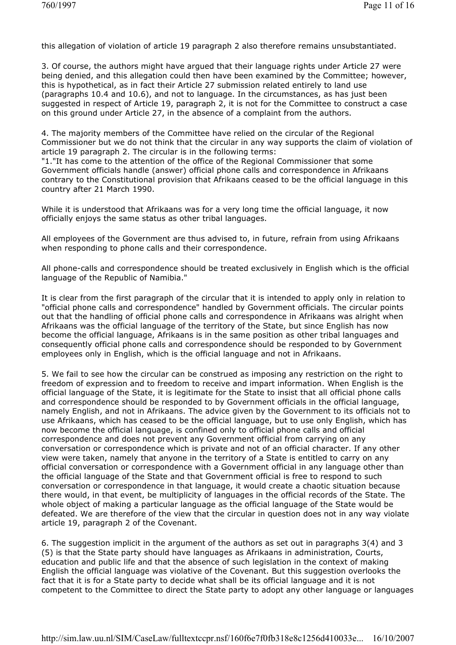this allegation of violation of article 19 paragraph 2 also therefore remains unsubstantiated.

3. Of course, the authors might have argued that their language rights under Article 27 were being denied, and this allegation could then have been examined by the Committee; however, this is hypothetical, as in fact their Article 27 submission related entirely to land use (paragraphs 10.4 and 10.6), and not to language. In the circumstances, as has just been suggested in respect of Article 19, paragraph 2, it is not for the Committee to construct a case on this ground under Article 27, in the absence of a complaint from the authors.

4. The majority members of the Committee have relied on the circular of the Regional Commissioner but we do not think that the circular in any way supports the claim of violation of article 19 paragraph 2. The circular is in the following terms:

"1."It has come to the attention of the office of the Regional Commissioner that some Government officials handle (answer) official phone calls and correspondence in Afrikaans contrary to the Constitutional provision that Afrikaans ceased to be the official language in this country after 21 March 1990.

While it is understood that Afrikaans was for a very long time the official language, it now officially enjoys the same status as other tribal languages.

All employees of the Government are thus advised to, in future, refrain from using Afrikaans when responding to phone calls and their correspondence.

All phone-calls and correspondence should be treated exclusively in English which is the official language of the Republic of Namibia."

It is clear from the first paragraph of the circular that it is intended to apply only in relation to "official phone calls and correspondence" handled by Government officials. The circular points out that the handling of official phone calls and correspondence in Afrikaans was alright when Afrikaans was the official language of the territory of the State, but since English has now become the official language, Afrikaans is in the same position as other tribal languages and consequently official phone calls and correspondence should be responded to by Government employees only in English, which is the official language and not in Afrikaans.

5. We fail to see how the circular can be construed as imposing any restriction on the right to freedom of expression and to freedom to receive and impart information. When English is the official language of the State, it is legitimate for the State to insist that all official phone calls and correspondence should be responded to by Government officials in the official language, namely English, and not in Afrikaans. The advice given by the Government to its officials not to use Afrikaans, which has ceased to be the official language, but to use only English, which has now become the official language, is confined only to official phone calls and official correspondence and does not prevent any Government official from carrying on any conversation or correspondence which is private and not of an official character. If any other view were taken, namely that anyone in the territory of a State is entitled to carry on any official conversation or correspondence with a Government official in any language other than the official language of the State and that Government official is free to respond to such conversation or correspondence in that language, it would create a chaotic situation because there would, in that event, be multiplicity of languages in the official records of the State. The whole object of making a particular language as the official language of the State would be defeated. We are therefore of the view that the circular in question does not in any way violate article 19, paragraph 2 of the Covenant.

6. The suggestion implicit in the argument of the authors as set out in paragraphs 3(4) and 3 (5) is that the State party should have languages as Afrikaans in administration, Courts, education and public life and that the absence of such legislation in the context of making English the official language was violative of the Covenant. But this suggestion overlooks the fact that it is for a State party to decide what shall be its official language and it is not competent to the Committee to direct the State party to adopt any other language or languages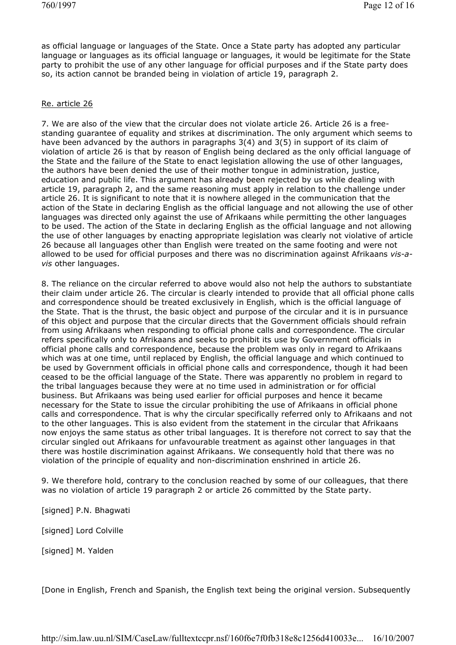as official language or languages of the State. Once a State party has adopted any particular language or languages as its official language or languages, it would be legitimate for the State party to prohibit the use of any other language for official purposes and if the State party does so, its action cannot be branded being in violation of article 19, paragraph 2.

#### Re. article 26

7. We are also of the view that the circular does not violate article 26. Article 26 is a freestanding guarantee of equality and strikes at discrimination. The only argument which seems to have been advanced by the authors in paragraphs 3(4) and 3(5) in support of its claim of violation of article 26 is that by reason of English being declared as the only official language of the State and the failure of the State to enact legislation allowing the use of other languages, the authors have been denied the use of their mother tongue in administration, justice, education and public life. This argument has already been rejected by us while dealing with article 19, paragraph 2, and the same reasoning must apply in relation to the challenge under article 26. It is significant to note that it is nowhere alleged in the communication that the action of the State in declaring English as the official language and not allowing the use of other languages was directed only against the use of Afrikaans while permitting the other languages to be used. The action of the State in declaring English as the official language and not allowing the use of other languages by enacting appropriate legislation was clearly not violative of article 26 because all languages other than English were treated on the same footing and were not allowed to be used for official purposes and there was no discrimination against Afrikaans vis-avis other languages.

8. The reliance on the circular referred to above would also not help the authors to substantiate their claim under article 26. The circular is clearly intended to provide that all official phone calls and correspondence should be treated exclusively in English, which is the official language of the State. That is the thrust, the basic object and purpose of the circular and it is in pursuance of this object and purpose that the circular directs that the Government officials should refrain from using Afrikaans when responding to official phone calls and correspondence. The circular refers specifically only to Afrikaans and seeks to prohibit its use by Government officials in official phone calls and correspondence, because the problem was only in regard to Afrikaans which was at one time, until replaced by English, the official language and which continued to be used by Government officials in official phone calls and correspondence, though it had been ceased to be the official language of the State. There was apparently no problem in regard to the tribal languages because they were at no time used in administration or for official business. But Afrikaans was being used earlier for official purposes and hence it became necessary for the State to issue the circular prohibiting the use of Afrikaans in official phone calls and correspondence. That is why the circular specifically referred only to Afrikaans and not to the other languages. This is also evident from the statement in the circular that Afrikaans now enjoys the same status as other tribal languages. It is therefore not correct to say that the circular singled out Afrikaans for unfavourable treatment as against other languages in that there was hostile discrimination against Afrikaans. We consequently hold that there was no violation of the principle of equality and non-discrimination enshrined in article 26.

9. We therefore hold, contrary to the conclusion reached by some of our colleagues, that there was no violation of article 19 paragraph 2 or article 26 committed by the State party.

[signed] P.N. Bhagwati

[signed] Lord Colville

[signed] M. Yalden

[Done in English, French and Spanish, the English text being the original version. Subsequently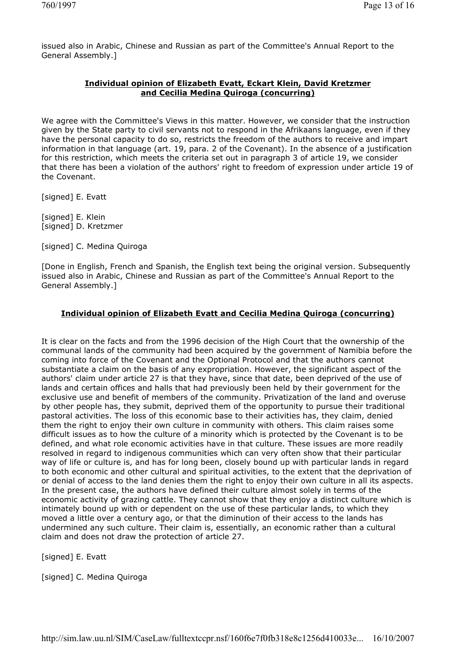issued also in Arabic, Chinese and Russian as part of the Committee's Annual Report to the General Assembly.]

# Individual opinion of Elizabeth Evatt, Eckart Klein, David Kretzmer and Cecilia Medina Quiroga (concurring)

We agree with the Committee's Views in this matter. However, we consider that the instruction given by the State party to civil servants not to respond in the Afrikaans language, even if they have the personal capacity to do so, restricts the freedom of the authors to receive and impart information in that language (art. 19, para. 2 of the Covenant). In the absence of a justification for this restriction, which meets the criteria set out in paragraph 3 of article 19, we consider that there has been a violation of the authors' right to freedom of expression under article 19 of the Covenant.

[signed] E. Evatt

[signed] E. Klein [signed] D. Kretzmer

[signed] C. Medina Quiroga

[Done in English, French and Spanish, the English text being the original version. Subsequently issued also in Arabic, Chinese and Russian as part of the Committee's Annual Report to the General Assembly.]

# Individual opinion of Elizabeth Evatt and Cecilia Medina Quiroga (concurring)

It is clear on the facts and from the 1996 decision of the High Court that the ownership of the communal lands of the community had been acquired by the government of Namibia before the coming into force of the Covenant and the Optional Protocol and that the authors cannot substantiate a claim on the basis of any expropriation. However, the significant aspect of the authors' claim under article 27 is that they have, since that date, been deprived of the use of lands and certain offices and halls that had previously been held by their government for the exclusive use and benefit of members of the community. Privatization of the land and overuse by other people has, they submit, deprived them of the opportunity to pursue their traditional pastoral activities. The loss of this economic base to their activities has, they claim, denied them the right to enjoy their own culture in community with others. This claim raises some difficult issues as to how the culture of a minority which is protected by the Covenant is to be defined, and what role economic activities have in that culture. These issues are more readily resolved in regard to indigenous communities which can very often show that their particular way of life or culture is, and has for long been, closely bound up with particular lands in regard to both economic and other cultural and spiritual activities, to the extent that the deprivation of or denial of access to the land denies them the right to enjoy their own culture in all its aspects. In the present case, the authors have defined their culture almost solely in terms of the economic activity of grazing cattle. They cannot show that they enjoy a distinct culture which is intimately bound up with or dependent on the use of these particular lands, to which they moved a little over a century ago, or that the diminution of their access to the lands has undermined any such culture. Their claim is, essentially, an economic rather than a cultural claim and does not draw the protection of article 27.

[signed] E. Evatt

[signed] C. Medina Quiroga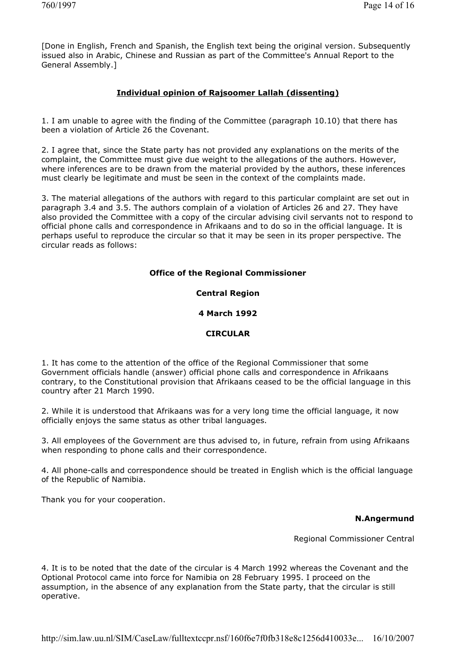[Done in English, French and Spanish, the English text being the original version. Subsequently issued also in Arabic, Chinese and Russian as part of the Committee's Annual Report to the General Assembly.]

## Individual opinion of Rajsoomer Lallah (dissenting)

1. I am unable to agree with the finding of the Committee (paragraph 10.10) that there has been a violation of Article 26 the Covenant.

2. I agree that, since the State party has not provided any explanations on the merits of the complaint, the Committee must give due weight to the allegations of the authors. However, where inferences are to be drawn from the material provided by the authors, these inferences must clearly be legitimate and must be seen in the context of the complaints made.

3. The material allegations of the authors with regard to this particular complaint are set out in paragraph 3.4 and 3.5. The authors complain of a violation of Articles 26 and 27. They have also provided the Committee with a copy of the circular advising civil servants not to respond to official phone calls and correspondence in Afrikaans and to do so in the official language. It is perhaps useful to reproduce the circular so that it may be seen in its proper perspective. The circular reads as follows:

#### Office of the Regional Commissioner

Central Region

4 March 1992

# **CIRCULAR**

1. It has come to the attention of the office of the Regional Commissioner that some Government officials handle (answer) official phone calls and correspondence in Afrikaans contrary, to the Constitutional provision that Afrikaans ceased to be the official language in this country after 21 March 1990.

2. While it is understood that Afrikaans was for a very long time the official language, it now officially enjoys the same status as other tribal languages.

3. All employees of the Government are thus advised to, in future, refrain from using Afrikaans when responding to phone calls and their correspondence.

4. All phone-calls and correspondence should be treated in English which is the official language of the Republic of Namibia.

Thank you for your cooperation.

# N.Angermund

Regional Commissioner Central

4. It is to be noted that the date of the circular is 4 March 1992 whereas the Covenant and the Optional Protocol came into force for Namibia on 28 February 1995. I proceed on the assumption, in the absence of any explanation from the State party, that the circular is still operative.

http://sim.law.uu.nl/SIM/CaseLaw/fulltextccpr.nsf/160f6e7f0fb318e8c1256d410033e... 16/10/2007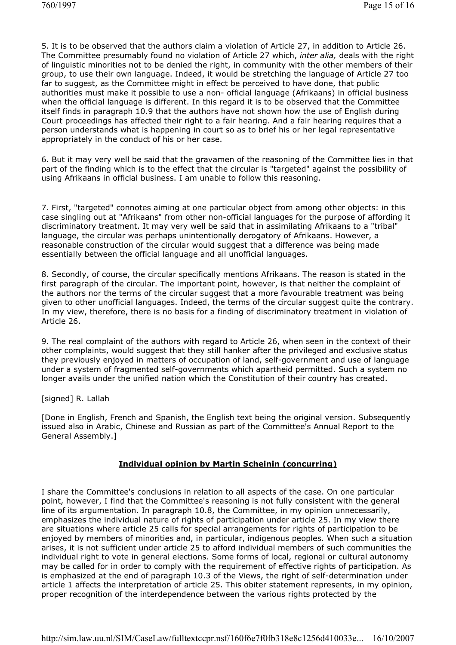5. It is to be observed that the authors claim a violation of Article 27, in addition to Article 26. The Committee presumably found no violation of Article 27 which, *inter alia*, deals with the right of linguistic minorities not to be denied the right, in community with the other members of their group, to use their own language. Indeed, it would be stretching the language of Article 27 too far to suggest, as the Committee might in effect be perceived to have done, that public authorities must make it possible to use a non- official language (Afrikaans) in official business when the official language is different. In this regard it is to be observed that the Committee itself finds in paragraph 10.9 that the authors have not shown how the use of English during Court proceedings has affected their right to a fair hearing. And a fair hearing requires that a person understands what is happening in court so as to brief his or her legal representative appropriately in the conduct of his or her case.

6. But it may very well be said that the gravamen of the reasoning of the Committee lies in that part of the finding which is to the effect that the circular is "targeted" against the possibility of using Afrikaans in official business. I am unable to follow this reasoning.

7. First, "targeted" connotes aiming at one particular object from among other objects: in this case singling out at "Afrikaans" from other non-official languages for the purpose of affording it discriminatory treatment. It may very well be said that in assimilating Afrikaans to a "tribal" language, the circular was perhaps unintentionally derogatory of Afrikaans. However, a reasonable construction of the circular would suggest that a difference was being made essentially between the official language and all unofficial languages.

8. Secondly, of course, the circular specifically mentions Afrikaans. The reason is stated in the first paragraph of the circular. The important point, however, is that neither the complaint of the authors nor the terms of the circular suggest that a more favourable treatment was being given to other unofficial languages. Indeed, the terms of the circular suggest quite the contrary. In my view, therefore, there is no basis for a finding of discriminatory treatment in violation of Article 26.

9. The real complaint of the authors with regard to Article 26, when seen in the context of their other complaints, would suggest that they still hanker after the privileged and exclusive status they previously enjoyed in matters of occupation of land, self-government and use of language under a system of fragmented self-governments which apartheid permitted. Such a system no longer avails under the unified nation which the Constitution of their country has created.

[signed] R. Lallah

[Done in English, French and Spanish, the English text being the original version. Subsequently issued also in Arabic, Chinese and Russian as part of the Committee's Annual Report to the General Assembly.]

#### Individual opinion by Martin Scheinin (concurring)

I share the Committee's conclusions in relation to all aspects of the case. On one particular point, however, I find that the Committee's reasoning is not fully consistent with the general line of its argumentation. In paragraph 10.8, the Committee, in my opinion unnecessarily, emphasizes the individual nature of rights of participation under article 25. In my view there are situations where article 25 calls for special arrangements for rights of participation to be enjoyed by members of minorities and, in particular, indigenous peoples. When such a situation arises, it is not sufficient under article 25 to afford individual members of such communities the individual right to vote in general elections. Some forms of local, regional or cultural autonomy may be called for in order to comply with the requirement of effective rights of participation. As is emphasized at the end of paragraph 10.3 of the Views, the right of self-determination under article 1 affects the interpretation of article 25. This obiter statement represents, in my opinion, proper recognition of the interdependence between the various rights protected by the